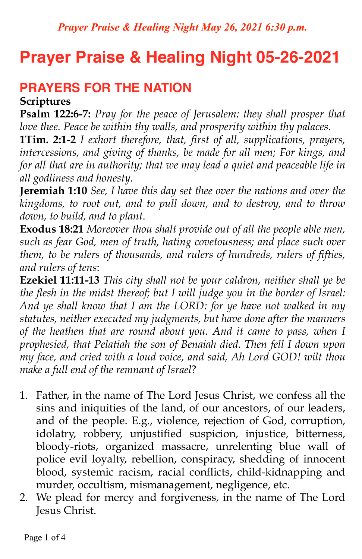# **Prayer Praise & Healing Night 05-26-2021**

## **PRAYERS FOR THE NATION**

#### **Scriptures**

**Psalm 122:6-7:** *Pray for the peace of Jerusalem: they shall prosper that love thee. Peace be within thy walls, and prosperity within thy palaces*.

**1Tim. 2:1-2** *I exhort therefore, that, first of all, supplications, prayers, intercessions, and giving of thanks, be made for all men; For kings, and for all that are in authority; that we may lead a quiet and peaceable life in all godliness and honesty*.

**Jeremiah 1:10** *See, I have this day set thee over the nations and over the kingdoms, to root out, and to pull down, and to destroy, and to throw down, to build, and to plant*.

**Exodus 18:21** *Moreover thou shalt provide out of all the people able men, such as fear God, men of truth, hating covetousness; and place such over them, to be rulers of thousands, and rulers of hundreds, rulers of fifties, and rulers of tens*:

**Ezekiel 11:11-13** *This city shall not be your caldron, neither shall ye be the flesh in the midst thereof; but I will judge you in the border of Israel: And ye shall know that I am the LORD: for ye have not walked in my statutes, neither executed my judgments, but have done after the manners of the heathen that are round about you. And it came to pass, when I prophesied, that Pelatiah the son of Benaiah died. Then fell I down upon my face, and cried with a loud voice, and said, Ah Lord GOD! wilt thou make a full end of the remnant of Israel*?

- 1. Father, in the name of The Lord Jesus Christ, we confess all the sins and iniquities of the land, of our ancestors, of our leaders, and of the people. E.g., violence, rejection of God, corruption, idolatry, robbery, unjustified suspicion, injustice, bitterness, bloody-riots, organized massacre, unrelenting blue wall of police evil loyalty, rebellion, conspiracy, shedding of innocent blood, systemic racism, racial conflicts, child-kidnapping and murder, occultism, mismanagement, negligence, etc.
- 2. We plead for mercy and forgiveness, in the name of The Lord Jesus Christ.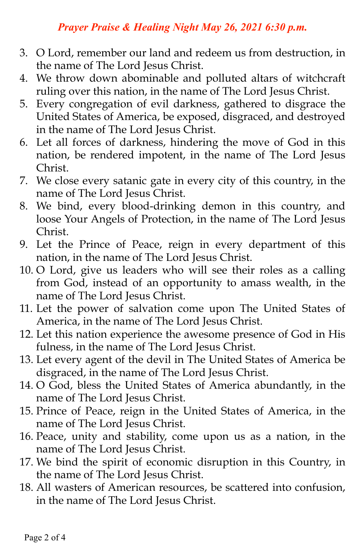- 3. O Lord, remember our land and redeem us from destruction, in the name of The Lord Jesus Christ.
- 4. We throw down abominable and polluted altars of witchcraft ruling over this nation, in the name of The Lord Jesus Christ.
- 5. Every congregation of evil darkness, gathered to disgrace the United States of America, be exposed, disgraced, and destroyed in the name of The Lord Jesus Christ.
- 6. Let all forces of darkness, hindering the move of God in this nation, be rendered impotent, in the name of The Lord Jesus Christ.
- 7. We close every satanic gate in every city of this country, in the name of The Lord Jesus Christ.
- 8. We bind, every blood-drinking demon in this country, and loose Your Angels of Protection, in the name of The Lord Jesus Christ.
- 9. Let the Prince of Peace, reign in every department of this nation, in the name of The Lord Jesus Christ.
- 10. O Lord, give us leaders who will see their roles as a calling from God, instead of an opportunity to amass wealth, in the name of The Lord Jesus Christ.
- 11. Let the power of salvation come upon The United States of America, in the name of The Lord Jesus Christ.
- 12. Let this nation experience the awesome presence of God in His fulness, in the name of The Lord Jesus Christ.
- 13. Let every agent of the devil in The United States of America be disgraced, in the name of The Lord Jesus Christ.
- 14. O God, bless the United States of America abundantly, in the name of The Lord Jesus Christ.
- 15. Prince of Peace, reign in the United States of America, in the name of The Lord Jesus Christ.
- 16. Peace, unity and stability, come upon us as a nation, in the name of The Lord Jesus Christ.
- 17. We bind the spirit of economic disruption in this Country, in the name of The Lord Jesus Christ.
- 18. All wasters of American resources, be scattered into confusion, in the name of The Lord Jesus Christ.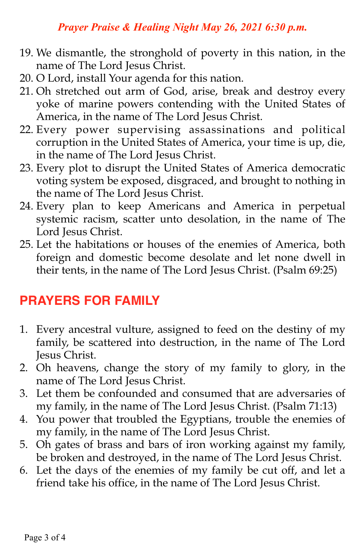- 19. We dismantle, the stronghold of poverty in this nation, in the name of The Lord Jesus Christ.
- 20. O Lord, install Your agenda for this nation.
- 21. Oh stretched out arm of God, arise, break and destroy every yoke of marine powers contending with the United States of America, in the name of The Lord Jesus Christ.
- 22. Every power supervising assassinations and political corruption in the United States of America, your time is up, die, in the name of The Lord Jesus Christ.
- 23. Every plot to disrupt the United States of America democratic voting system be exposed, disgraced, and brought to nothing in the name of The Lord Jesus Christ.
- 24. Every plan to keep Americans and America in perpetual systemic racism, scatter unto desolation, in the name of The Lord Jesus Christ.
- 25. Let the habitations or houses of the enemies of America, both foreign and domestic become desolate and let none dwell in their tents, in the name of The Lord Jesus Christ. (Psalm 69:25)

## **PRAYERS FOR FAMILY**

- 1. Every ancestral vulture, assigned to feed on the destiny of my family, be scattered into destruction, in the name of The Lord Jesus Christ.
- 2. Oh heavens, change the story of my family to glory, in the name of The Lord Jesus Christ.
- 3. Let them be confounded and consumed that are adversaries of my family, in the name of The Lord Jesus Christ. (Psalm 71:13)
- 4. You power that troubled the Egyptians, trouble the enemies of my family, in the name of The Lord Jesus Christ.
- 5. Oh gates of brass and bars of iron working against my family, be broken and destroyed, in the name of The Lord Jesus Christ.
- 6. Let the days of the enemies of my family be cut off, and let a friend take his office, in the name of The Lord Jesus Christ.